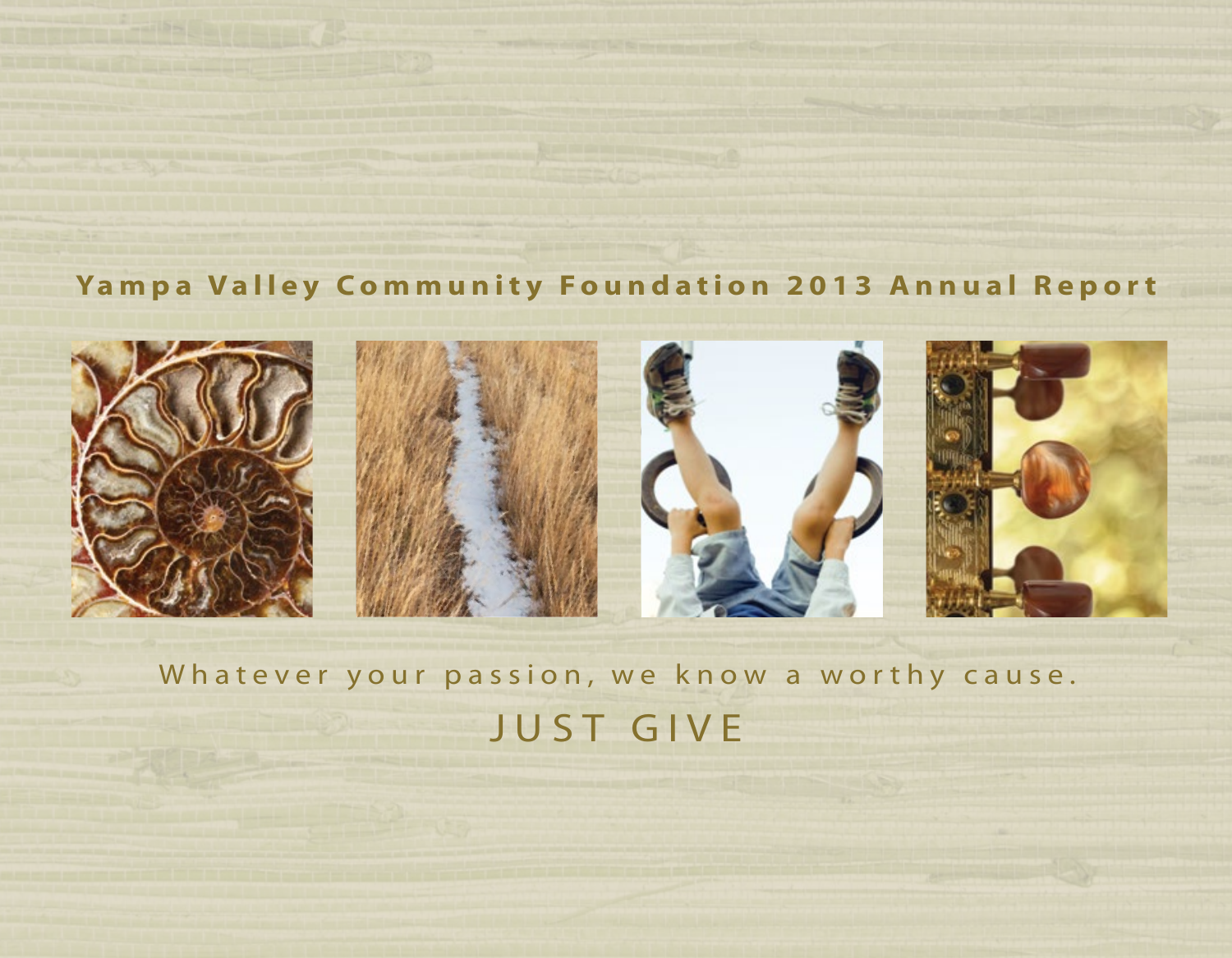## **Yampa Valley Community Foundation 2013 Annual Report**



Whatever your passion, we know a worthy cause. JUST GIVE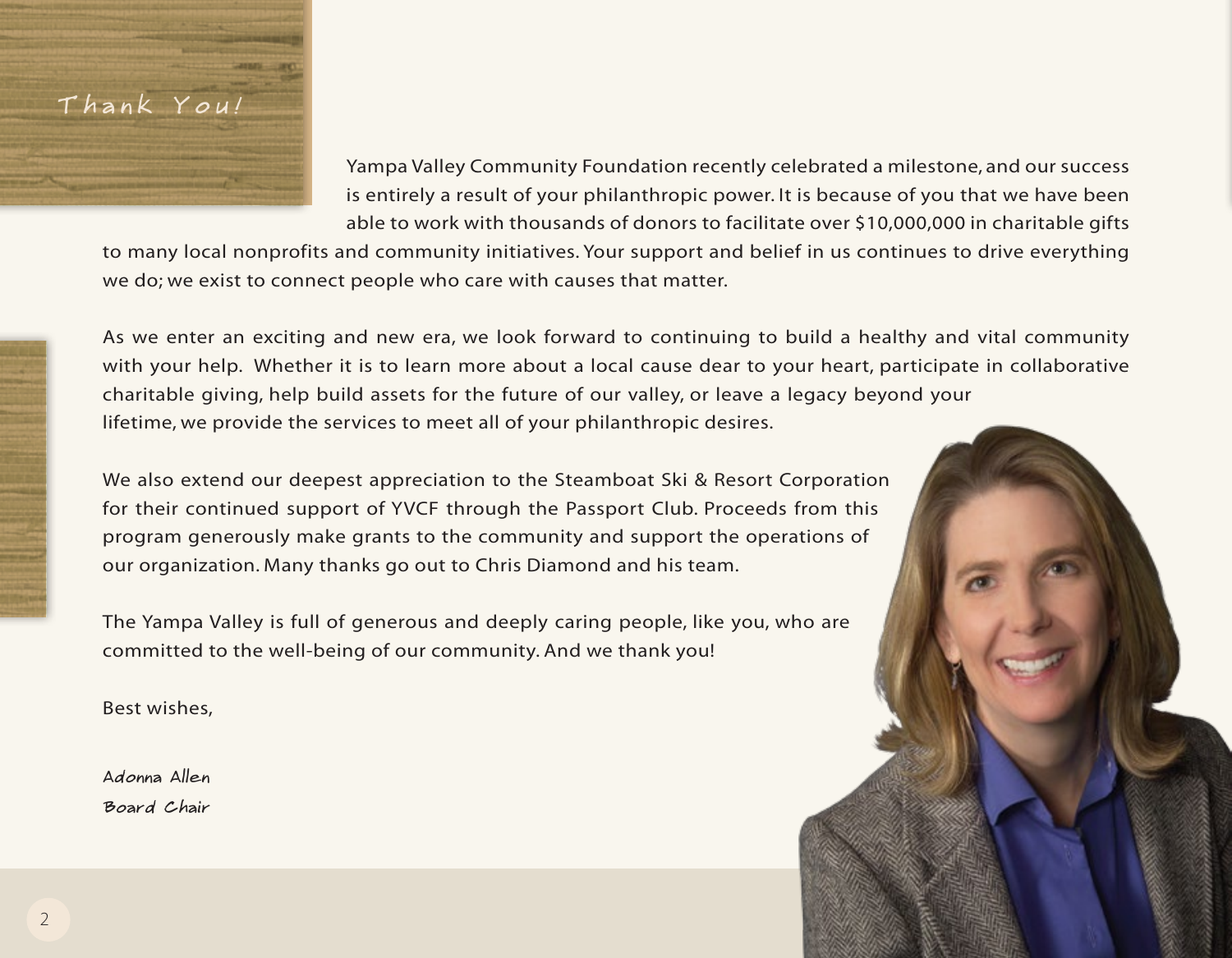## Yampa Valley Community Foundation recently celebrated a milestone, and our success is entirely a result of your philanthropic power. It is because of you that we have been able to work with thousands of donors to facilitate over \$10,000,000 in charitable gifts

to many local nonprofits and community initiatives. Your support and belief in us continues to drive everything we do; we exist to connect people who care with causes that matter.

As we enter an exciting and new era, we look forward to continuing to build a healthy and vital community with your help. Whether it is to learn more about a local cause dear to your heart, participate in collaborative charitable giving, help build assets for the future of our valley, or leave a legacy beyond your lifetime, we provide the services to meet all of your philanthropic desires.

We also extend our deepest appreciation to the Steamboat Ski & Resort Corporation for their continued support of YVCF through the Passport Club. Proceeds from this program generously make grants to the community and support the operations of our organization. Many thanks go out to Chris Diamond and his team.

The Yampa Valley is full of generous and deeply caring people, like you, who are committed to the well-being of our community. And we thank you!

Best wishes,

Thank You!

Adonna Allen Board Chair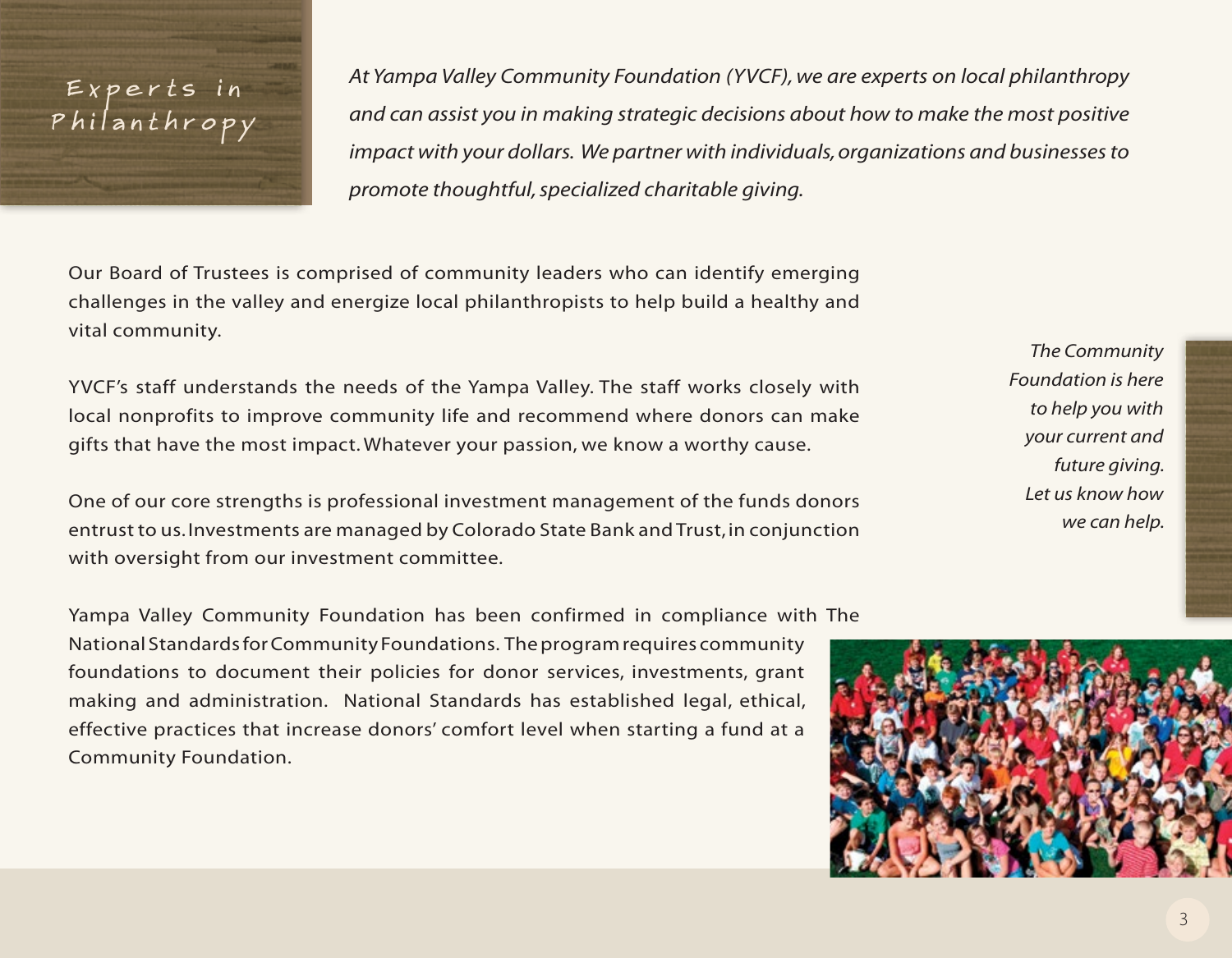## Experts in Philanthropy

*At Yampa Valley Community Foundation (YVCF), we are experts on local philanthropy and can assist you in making strategic decisions about how to make the most positive impact with your dollars. We partner with individuals, organizations and businesses to promote thoughtful, specialized charitable giving.* 

Our Board of Trustees is comprised of community leaders who can identify emerging challenges in the valley and energize local philanthropists to help build a healthy and vital community.

YVCF's staff understands the needs of the Yampa Valley. The staff works closely with local nonprofits to improve community life and recommend where donors can make gifts that have the most impact. Whatever your passion, we know a worthy cause.

One of our core strengths is professional investment management of the funds donors entrust to us. Investments are managed by Colorado State Bank and Trust, in conjunction with oversight from our investment committee.

Yampa Valley Community Foundation has been confirmed in compliance with The National Standards for Community Foundations. The program requires community foundations to document their policies for donor services, investments, grant making and administration. National Standards has established legal, ethical, effective practices that increase donors' comfort level when starting a fund at a Community Foundation.

*The Community Foundation is here to help you with your current and future giving. Let us know how we can help.* 

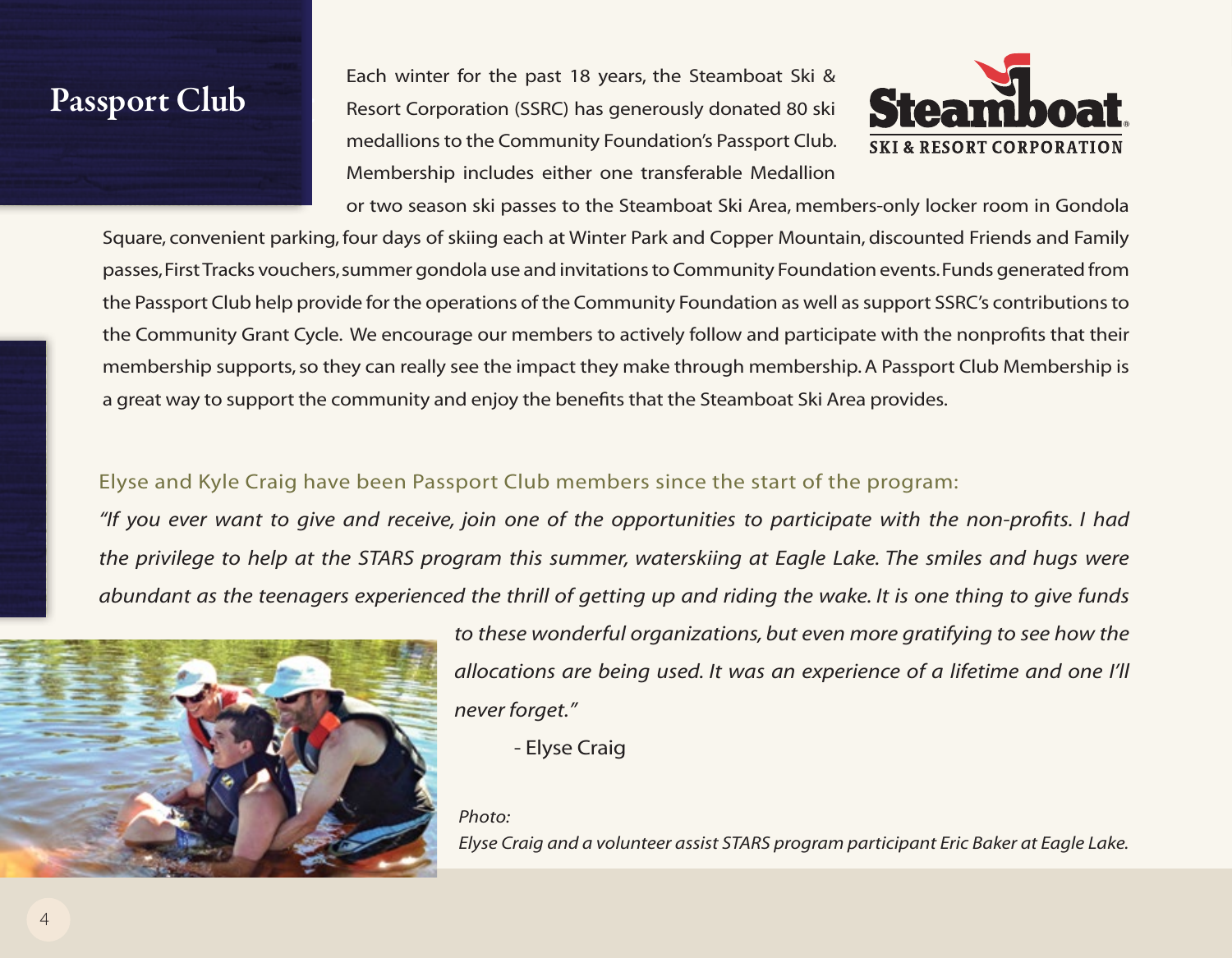# Passport Passport Club

Each winter for the past 18 years, the Steamboat Ski & Resort Corporation (SSRC) has generously donated 80 ski medallions to the Community Foundation's Passport Club. Membership includes either one transferable Medallion



or two season ski passes to the Steamboat Ski Area, members-only locker room in Gondola Square, convenient parking, four days of skiing each at Winter Park and Copper Mountain, discounted Friends and Family passes, First Tracks vouchers, summer gondola use and invitations to Community Foundation events. Funds generated from the Passport Club help provide for the operations of the Community Foundation as well as support SSRC's contributions to the Community Grant Cycle. We encourage our members to actively follow and participate with the nonprofits that their membership supports, so they can really see the impact they make through membership. A Passport Club Membership is a great way to support the community and enjoy the benefits that the Steamboat Ski Area provides. Club Club

## Elyse and Kyle Craig have been Passport Club members since the start of the program:

*"If you ever want to give and receive, join one of the opportunities to participate with the non-profits. I had the privilege to help at the STARS program this summer, waterskiing at Eagle Lake. The smiles and hugs were abundant as the teenagers experienced the thrill of getting up and riding the wake. It is one thing to give funds* 



*to these wonderful organizations, but even more gratifying to see how the allocations are being used. It was an experience of a lifetime and one I'll never forget."*

- Elyse Craig

#### *Photo:*

*Elyse Craig and a volunteer assist STARS program participant Eric Baker at Eagle Lake.*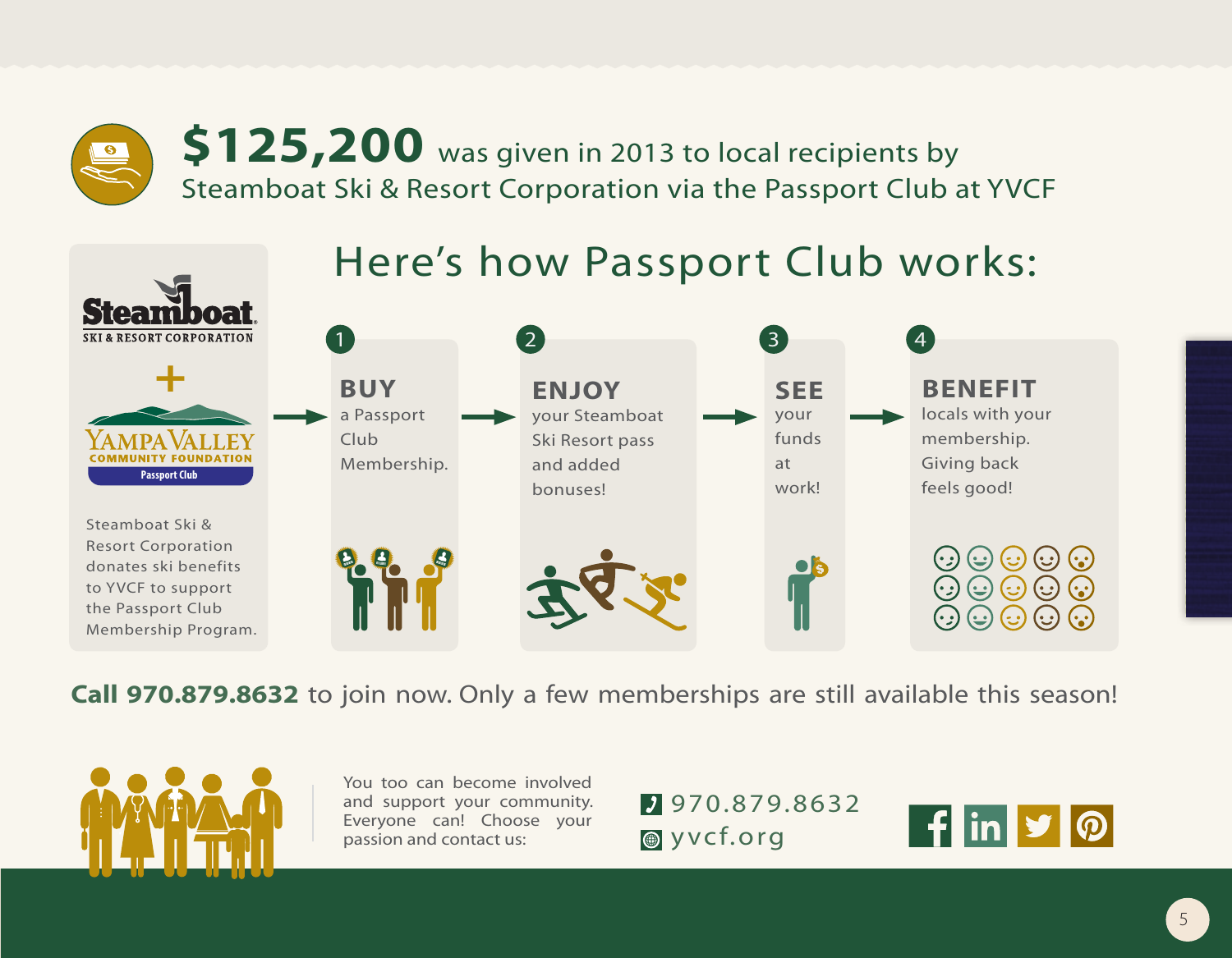**\$125,200** was given in 2013 to local recipients by Steamboat Ski & Resort Corporation via the Passport Club at YVCF

## Here's how Passport Club works:



**Call 970.879.8632** to join now. Only a few memberships are still available this season!



You too can become involved and support your community. Everyone can! Choose your passion and contact us:

970.879.8632 **Wycf.org** 

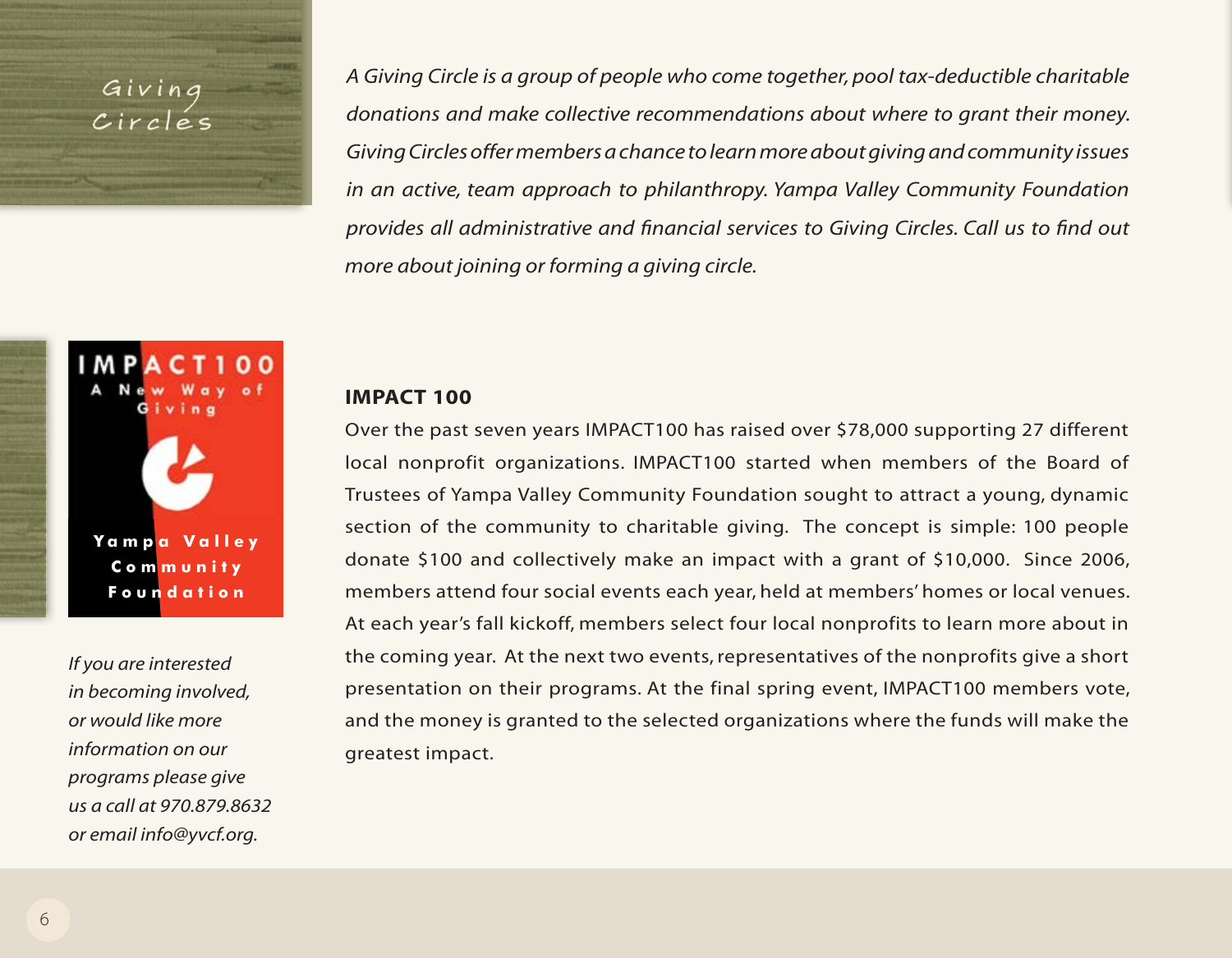Giving Circles *A Giving Circle is a group of people who come together, pool tax-deductible charitable donations and make collective recommendations about where to grant their money. Giving Circles offer members a chance to learn more about giving and community issues in an active, team approach to philanthropy. Yampa Valley Community Foundation provides all administrative and financial services to Giving Circles. Call us to find out more about joining or forming a giving circle.*

# **Y ampa V alley Community Foundation**

*If you are interested in becoming involved, or would like more information on our programs please give us a call at 970.879.8632*   $or$  email info@yvcf.org.

#### **IMPACT 100**

Over the past seven years IMPACT100 has raised over \$78,000 supporting 27 different local nonprofit organizations. IMPACT100 started when members of the Board of Trustees of Yampa Valley Community Foundation sought to attract a young, dynamic **Passport Club** section of the community to charitable giving. The concept is simple: 100 people donate \$100 and collectively make an impact with a grant of \$10,000. Since 2006, members attend four social events each year, held at members' homes or local venues. At each year's fall kickoff, members select four local nonprofits to learn more about in the coming year. At the next two events, representatives of the nonprofits give a short presentation on their programs. At the final spring event, IMPACT100 members vote, and the money is granted to the selected organizations where the funds will make the greatest impact.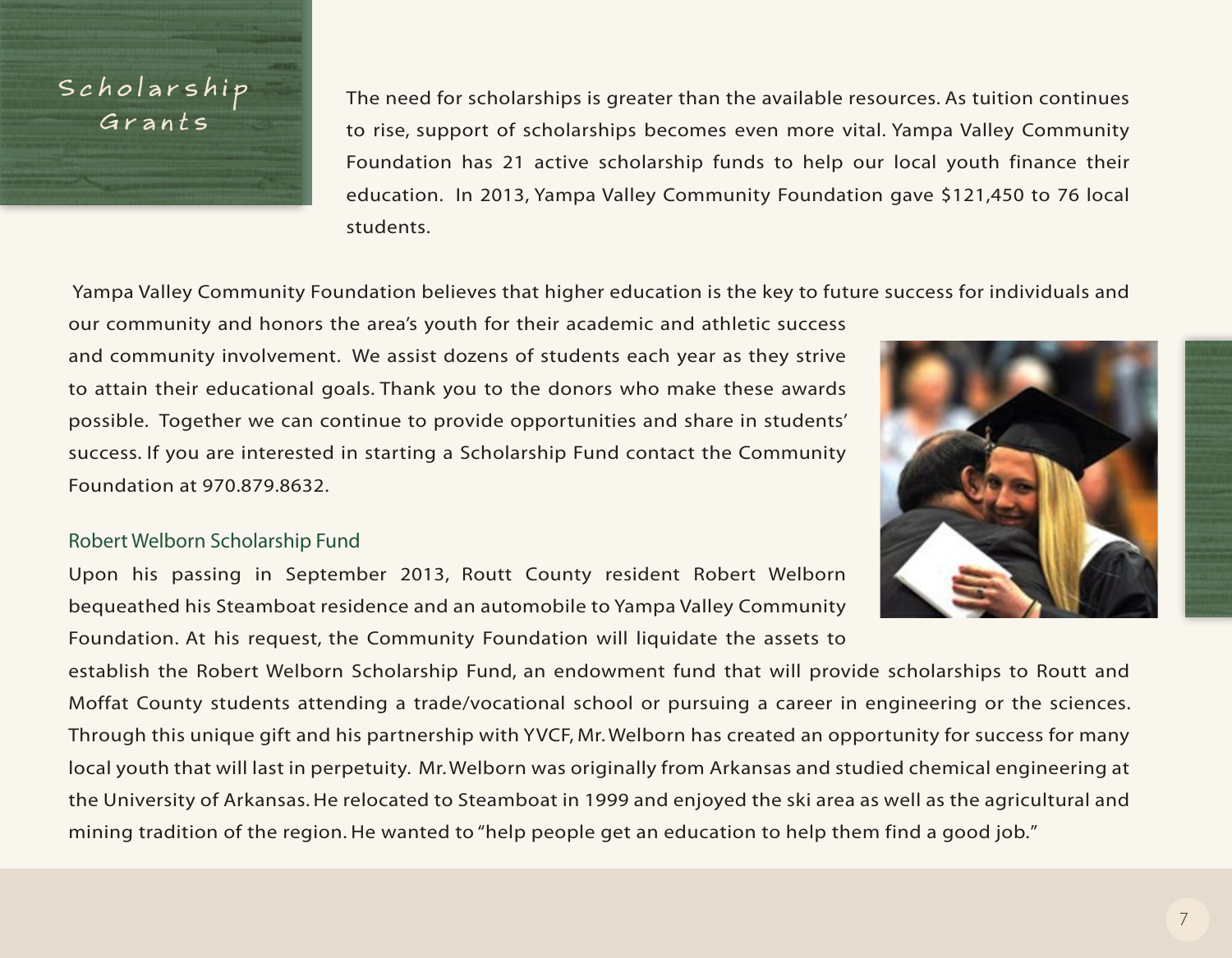## Scholarship Grants

The need for scholarships is greater than the available resources. As tuition continues to rise, support of scholarships becomes even more vital. Yampa Valley Community Foundation has 21 active scholarship funds to help our local youth finance their education. In 2013, Yampa Valley Community Foundation gave \$121,450 to 76 local students.

Yampa Valley Community Foundation believes that higher education is the key to future success for individuals and

our community and honors the area's youth for their academic and athletic success and community involvement. We assist dozens of students each year as they strive to attain their educational goals. Thank you to the donors who make these awards possible. Together we can continue to provide opportunities and share in students' success. If you are interested in starting a Scholarship Fund contact the Community Foundation at 970.879.8632.

## Robert Welborn Scholarship Fund

Upon his passing in September 2013, Routt County resident Robert Welborn bequeathed his Steamboat residence and an automobile to Yampa Valley Community Foundation. At his request, the Community Foundation will liquidate the assets to

establish the Robert Welborn Scholarship Fund, an endowment fund that will provide scholarships to Routt and Moffat County students attending a trade/vocational school or pursuing a career in engineering or the sciences. Through this unique gift and his partnership with YVCF, Mr. Welborn has created an opportunity for success for many local youth that will last in perpetuity. Mr. Welborn was originally from Arkansas and studied chemical engineering at the University of Arkansas. He relocated to Steamboat in 1999 and enjoyed the ski area as well as the agricultural and mining tradition of the region. He wanted to "help people get an education to help them find a good job."

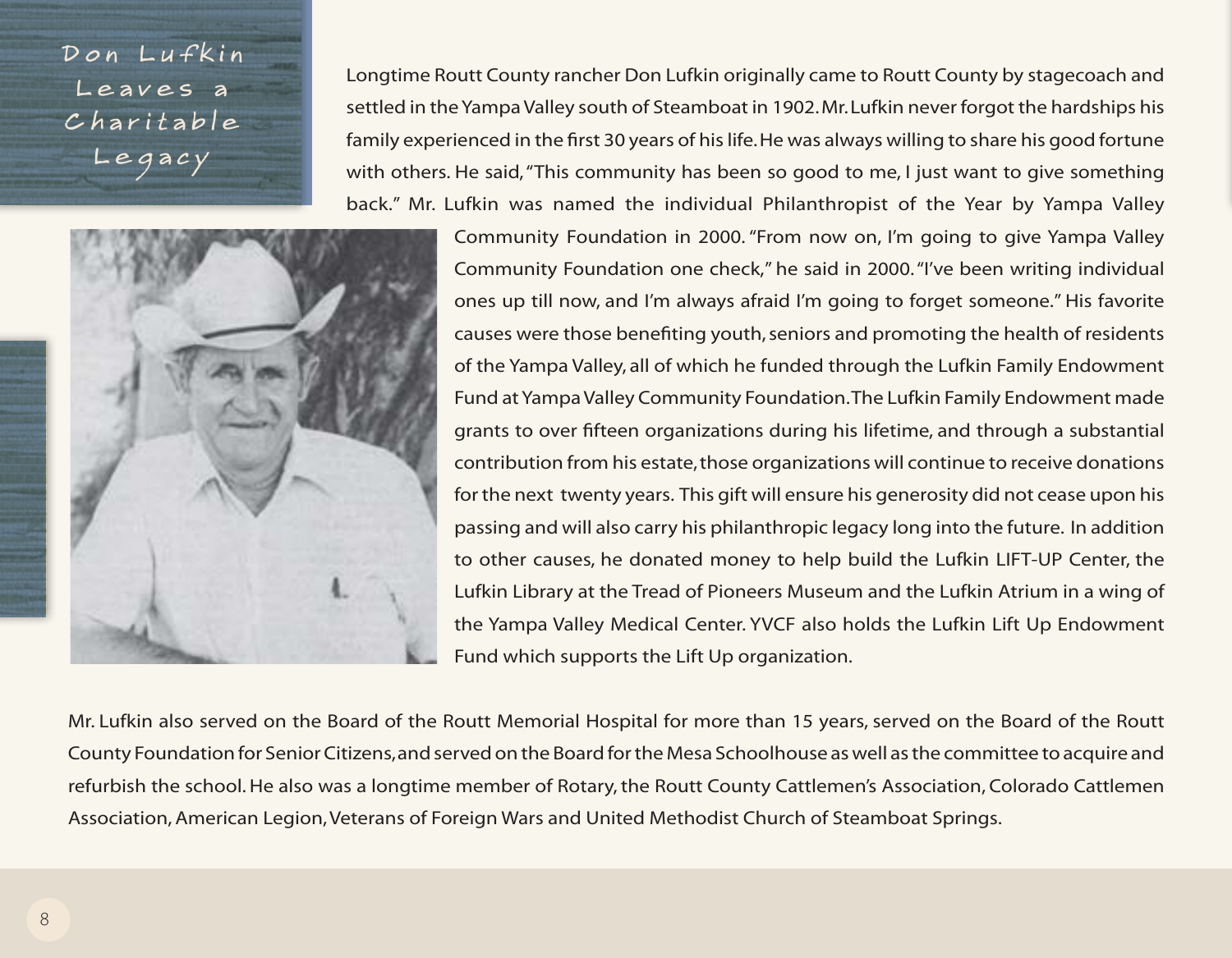D on Lufkin Leaves a C h a r i t a b l e Legacy



Longtime Routt County rancher Don Lufkin originally came to Routt County by stagecoach and settled in the Yampa Valley south of Steamboat in 1902. Mr. Lufkin never forgot the hardships his family experienced in the first 30 years of his life. He was always willing to share his good fortune with others. He said, "This community has been so good to me, I just want to give something back." Mr. Lufkin was named the individual Philanthropist of the Year by Yampa Valley

> Community Foundation in 2000. "From now on, I'm going to give Yampa Valley Community Foundation one check," he said in 2000. "I've been writing individual ones up till now, and I'm always afraid I'm going to forget someone." His favorite causes were those benefiting youth, seniors and promoting the health of residents of the Yampa Valley, all of which he funded through the Lufkin Family Endowment Fund at Yampa Valley Community Foundation. The Lufkin Family Endowment made grants to over fifteen organizations during his lifetime, and through a substantial contribution from his estate, those organizations will continue to receive donations for the next twenty years. This gift will ensure his generosity did not cease upon his passing and will also carry his philanthropic legacy long into the future. In addition to other causes, he donated money to help build the Lufkin LIFT-UP Center, the Lufkin Library at the Tread of Pioneers Museum and the Lufkin Atrium in a wing of the Yampa Valley Medical Center. YVCF also holds the Lufkin Lift Up Endowment Fund which supports the Lift Up organization.

Mr. Lufkin also served on the Board of the Routt Memorial Hospital for more than 15 years, served on the Board of the Routt County Foundation for Senior Citizens, and served on the Board for the Mesa Schoolhouse as well as the committee to acquire and refurbish the school. He also was a longtime member of Rotary, the Routt County Cattlemen's Association, Colorado Cattlemen Association, American Legion, Veterans of Foreign Wars and United Methodist Church of Steamboat Springs.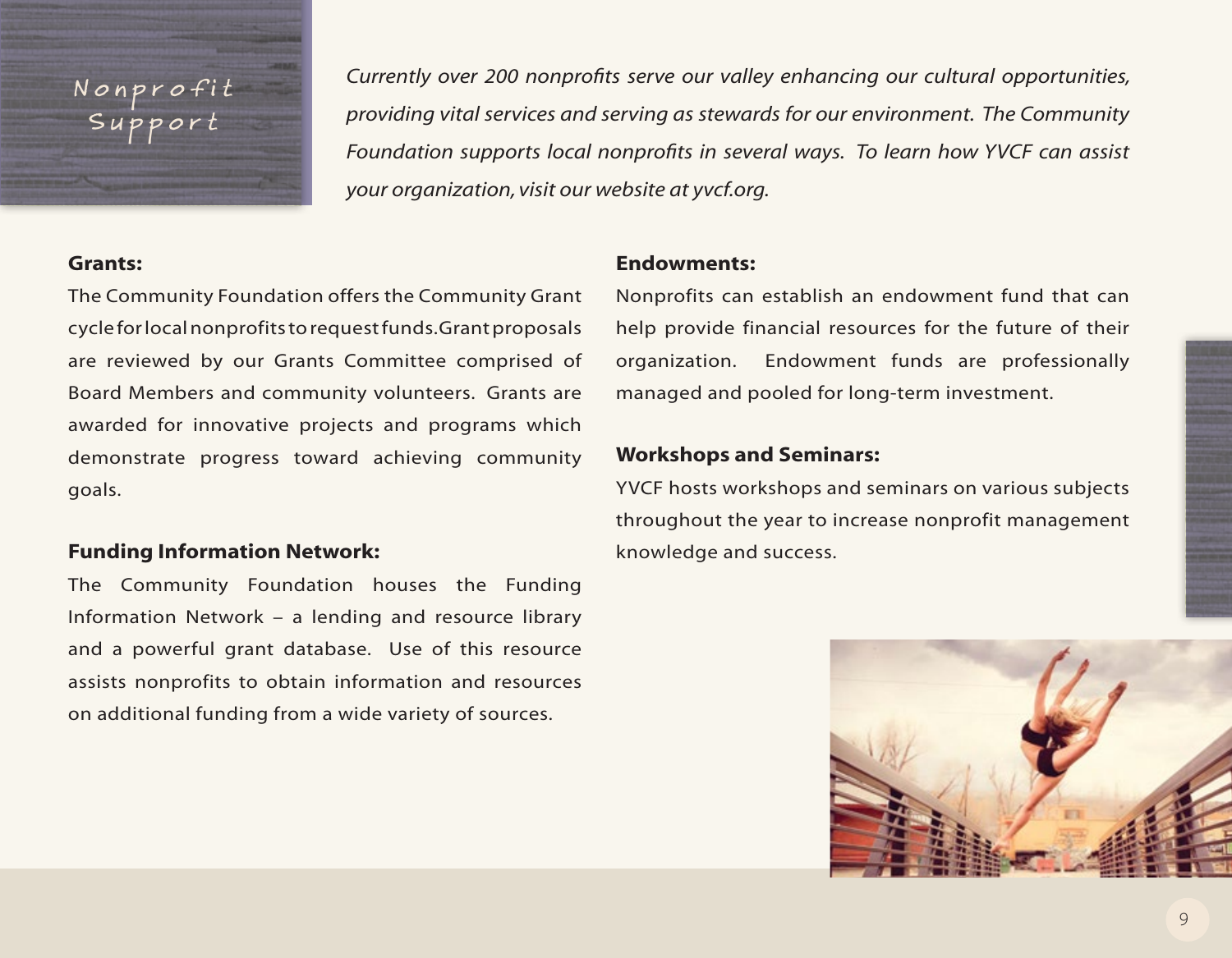# Nonprof Support

*Currently over 200 nonprofits serve our valley enhancing our cultural opportunities, providing vital services and serving as stewards for our environment. The Community Foundation supports local nonprofits in several ways. To learn how YVCF can assist your organization, visit our website at yvcf.org.*

### **Grants:**

The Community Foundation offers the Community Grant cycle for local nonprofits to request funds. Grant proposals are reviewed by our Grants Committee comprised of Board Members and community volunteers. Grants are awarded for innovative projects and programs which demonstrate progress toward achieving community goals.

## **Funding Information Network:**

The Community Foundation houses the Funding Information Network – a lending and resource library and a powerful grant database. Use of this resource assists nonprofits to obtain information and resources on additional funding from a wide variety of sources.

## **Endowments:**

Nonprofits can establish an endowment fund that can help provide financial resources for the future of their organization. Endowment funds are professionally managed and pooled for long-term investment.

## **Workshops and Seminars:**

YVCF hosts workshops and seminars on various subjects throughout the year to increase nonprofit management knowledge and success.

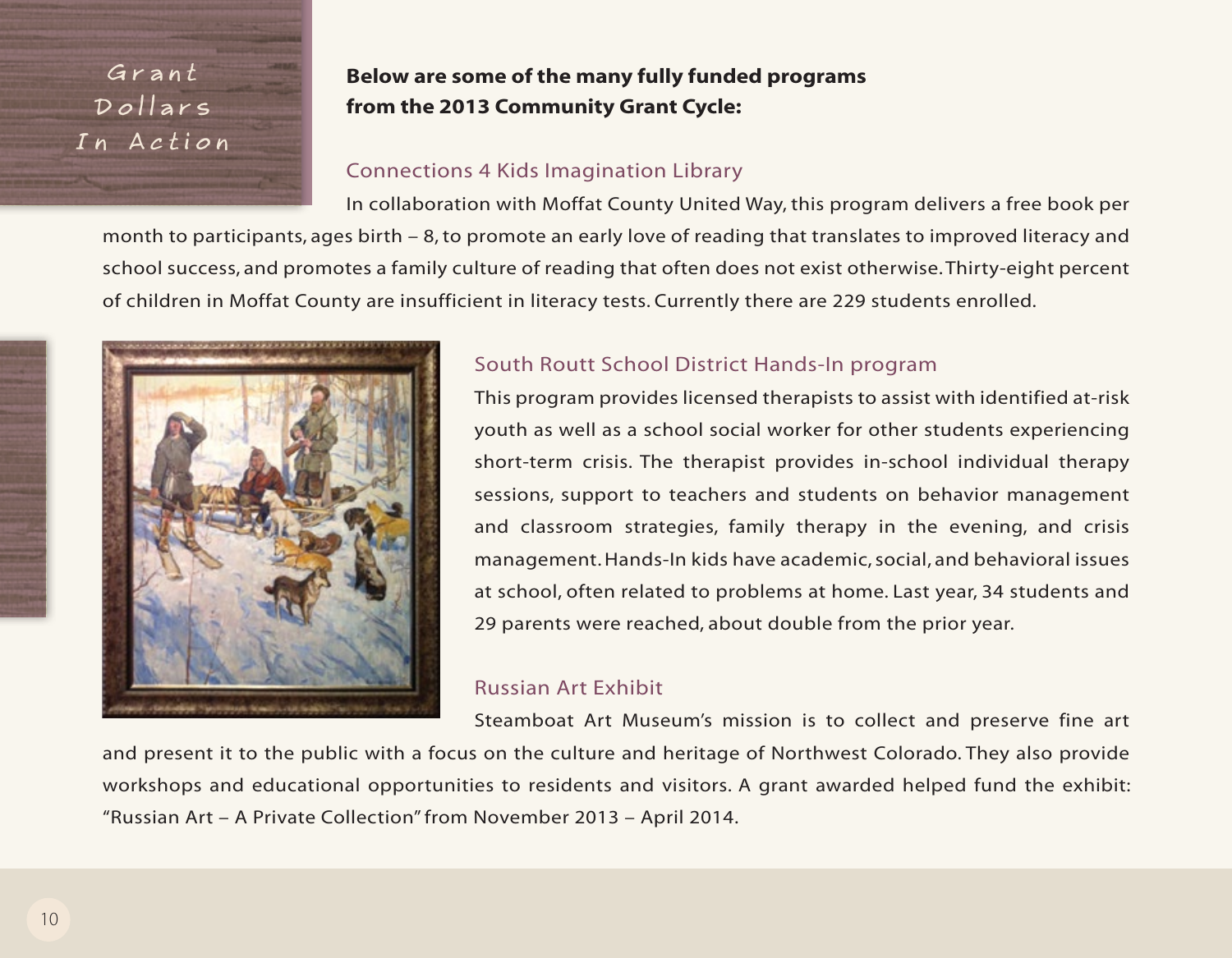Grant Dollars In Action

## **Below are some of the many fully funded programs from the 2013 Community Grant Cycle:**

## Connections 4 Kids Imagination Library

In collaboration with Moffat County United Way, this program delivers a free book per month to participants, ages birth – 8, to promote an early love of reading that translates to improved literacy and school success, and promotes a family culture of reading that often does not exist otherwise. Thirty-eight percent of children in Moffat County are insufficient in literacy tests. Currently there are 229 students enrolled.



## South Routt School District Hands-In program

This program provides licensed therapists to assist with identified at-risk youth as well as a school social worker for other students experiencing short-term crisis. The therapist provides in-school individual therapy sessions, support to teachers and students on behavior management and classroom strategies, family therapy in the evening, and crisis management. Hands-In kids have academic, social, and behavioral issues at school, often related to problems at home. Last year, 34 students and 29 parents were reached, about double from the prior year.

## Russian Art Exhibit

Steamboat Art Museum's mission is to collect and preserve fine art and present it to the public with a focus on the culture and heritage of Northwest Colorado. They also provide workshops and educational opportunities to residents and visitors. A grant awarded helped fund the exhibit: "Russian Art – A Private Collection" from November 2013 – April 2014.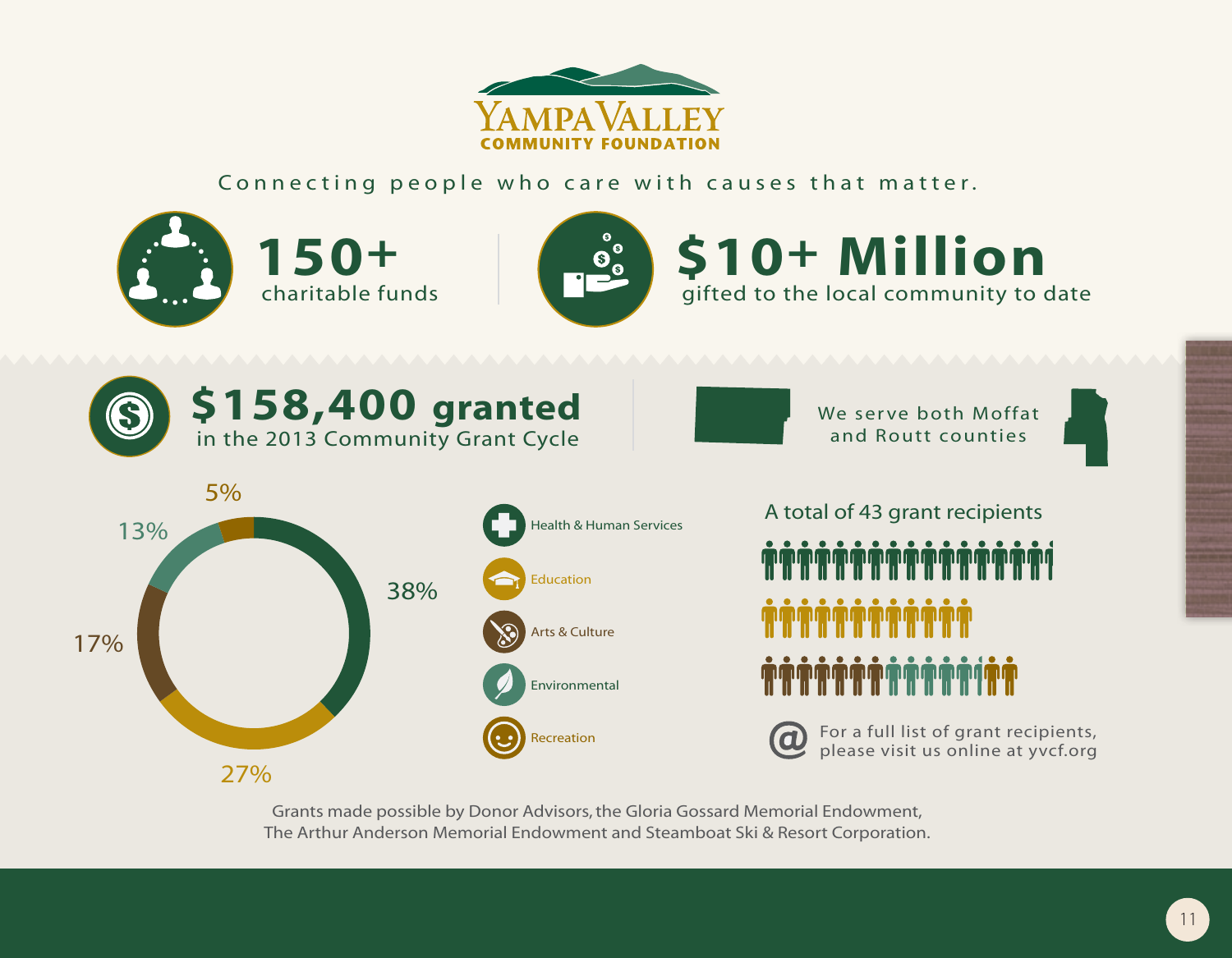

Connecting people who care with causes that matter.



27%

Grants made possible by Donor Advisors, the Gloria Gossard Memorial Endowment, The Arthur Anderson Memorial Endowment and Steamboat Ski & Resort Corporation.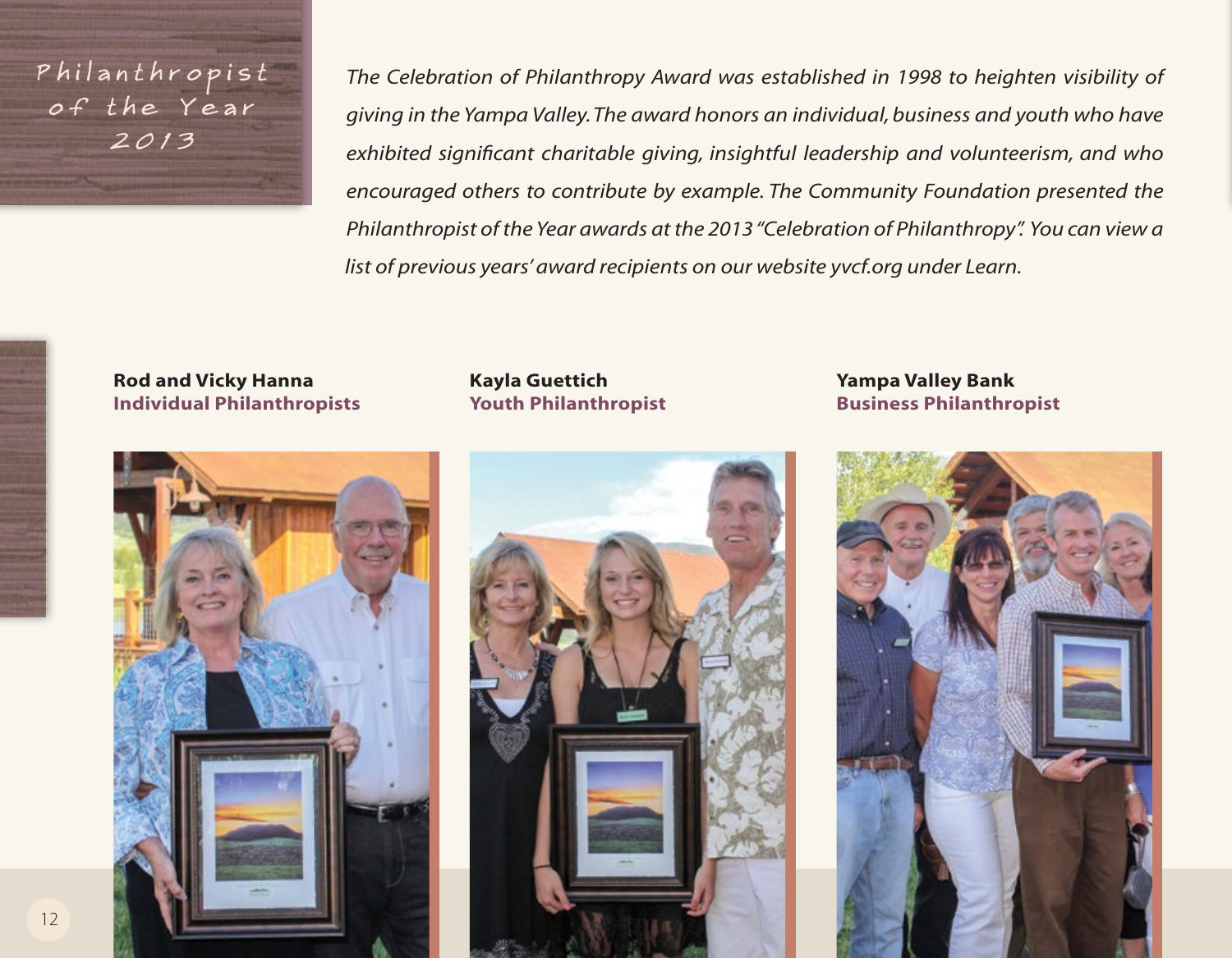P hilant hr o p i s t of the Year 2013

*The Celebration of Philanthropy Award was established in 1998 to heighten visibility of giving in the Yampa Valley. The award honors an individual, business and youth who have exhibited significant charitable giving, insightful leadership and volunteerism, and who encouraged others to contribute by example. The Community Foundation presented the Philanthropist of the Year awards at the 2013 "Celebration of Philanthropy". You can view a list of previous years' award recipients on our website yvcf.org under Learn.*

## **Rod and Vicky Hanna Individual Philanthropists**

## **Kayla Guettich Youth Philanthropist**



**Yampa Valley Bank Business Philanthropist**

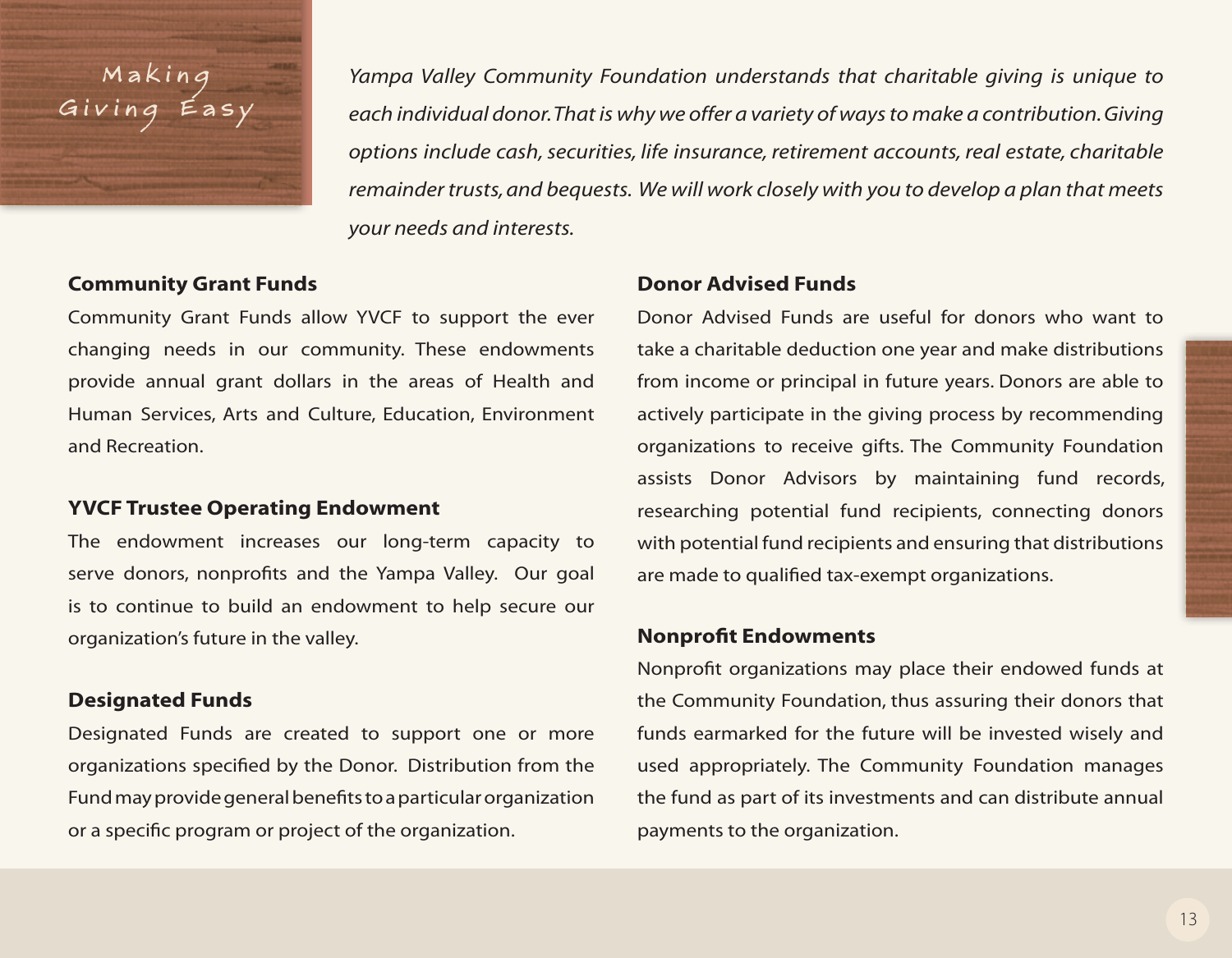# M a k i n g Giving

*Yampa Valley Community Foundation understands that charitable giving is unique to each individual donor. That is why we offer a variety of ways to make a contribution. Giving options include cash, securities, life insurance, retirement accounts, real estate, charitable remainder trusts, and bequests. We will work closely with you to develop a plan that meets your needs and interests.*

### **Community Grant Funds**

Community Grant Funds allow YVCF to support the ever changing needs in our community. These endowments provide annual grant dollars in the areas of Health and Human Services, Arts and Culture, Education, Environment and Recreation.

#### **YVCF Trustee Operating Endowment**

The endowment increases our long-term capacity to serve donors, nonprofits and the Yampa Valley. Our goal is to continue to build an endowment to help secure our organization's future in the valley.

## **Designated Funds**

Designated Funds are created to support one or more organizations specified by the Donor. Distribution from the Fund may provide general benefits to a particular organization or a specific program or project of the organization.

#### **Donor Advised Funds**

Donor Advised Funds are useful for donors who want to take a charitable deduction one year and make distributions from income or principal in future years. Donors are able to actively participate in the giving process by recommending organizations to receive gifts. The Community Foundation assists Donor Advisors by maintaining fund records, researching potential fund recipients, connecting donors with potential fund recipients and ensuring that distributions are made to qualified tax-exempt organizations.

#### **Nonprofit Endowments**

Nonprofit organizations may place their endowed funds at the Community Foundation, thus assuring their donors that funds earmarked for the future will be invested wisely and used appropriately. The Community Foundation manages the fund as part of its investments and can distribute annual payments to the organization.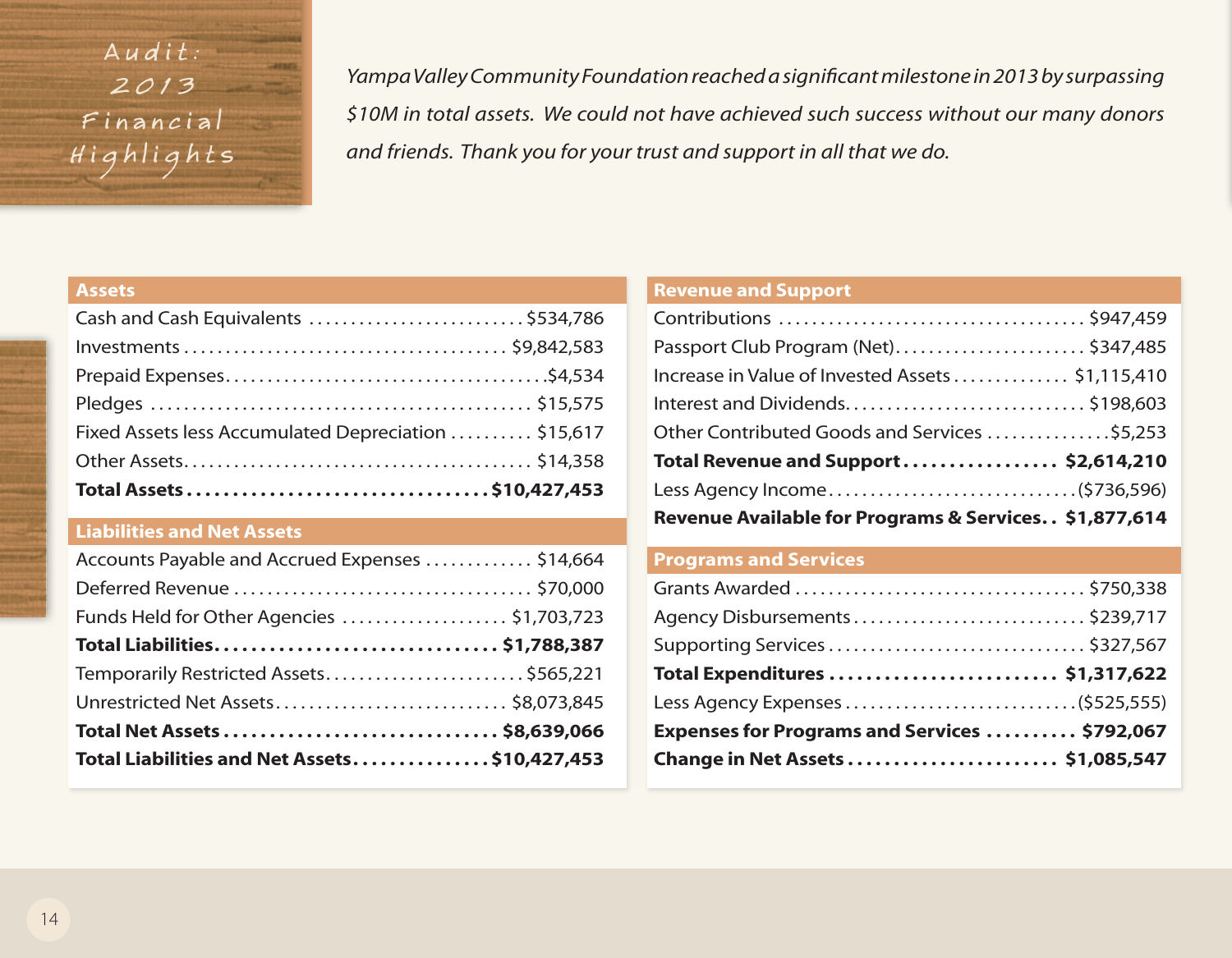Audit:  $2013$ Financial Highlights

*Yampa Valley Community Foundation reached a significant milestone in 2013 by surpassing \$10M in total assets. We could not have achieved such success without our many donors and friends. Thank you for your trust and support in all that we do.*

#### **Assets**

## **Liabilities and Net Assets**

| Accounts Payable and Accrued Expenses  \$14,664 |  |
|-------------------------------------------------|--|
|                                                 |  |
| Funds Held for Other Agencies \$1,703,723       |  |
| Total Liabilities \$1,788,387                   |  |
| Temporarily Restricted Assets\$565,221          |  |
| Unrestricted Net Assets \$8,073,845             |  |
|                                                 |  |
| Total Liabilities and Net Assets\$10,427,453    |  |

#### **Revenue and Support**

| Passport Club Program (Net)\$347,485                  |  |  |
|-------------------------------------------------------|--|--|
| Increase in Value of Invested Assets \$1,115,410      |  |  |
| Interest and Dividends\$198,603                       |  |  |
| Other Contributed Goods and Services \$5,253          |  |  |
| Total Revenue and Support \$2,614,210                 |  |  |
|                                                       |  |  |
| Revenue Available for Programs & Services \$1,877,614 |  |  |

## **Programs and Services**

| Agency Disbursements\$239,717                 |  |
|-----------------------------------------------|--|
| Supporting Services  \$327,567                |  |
| Total Expenditures  \$1,317,622               |  |
| Less Agency Expenses (\$525,555)              |  |
| Expenses for Programs and Services  \$792,067 |  |
| Change in Net Assets  \$1,085,547             |  |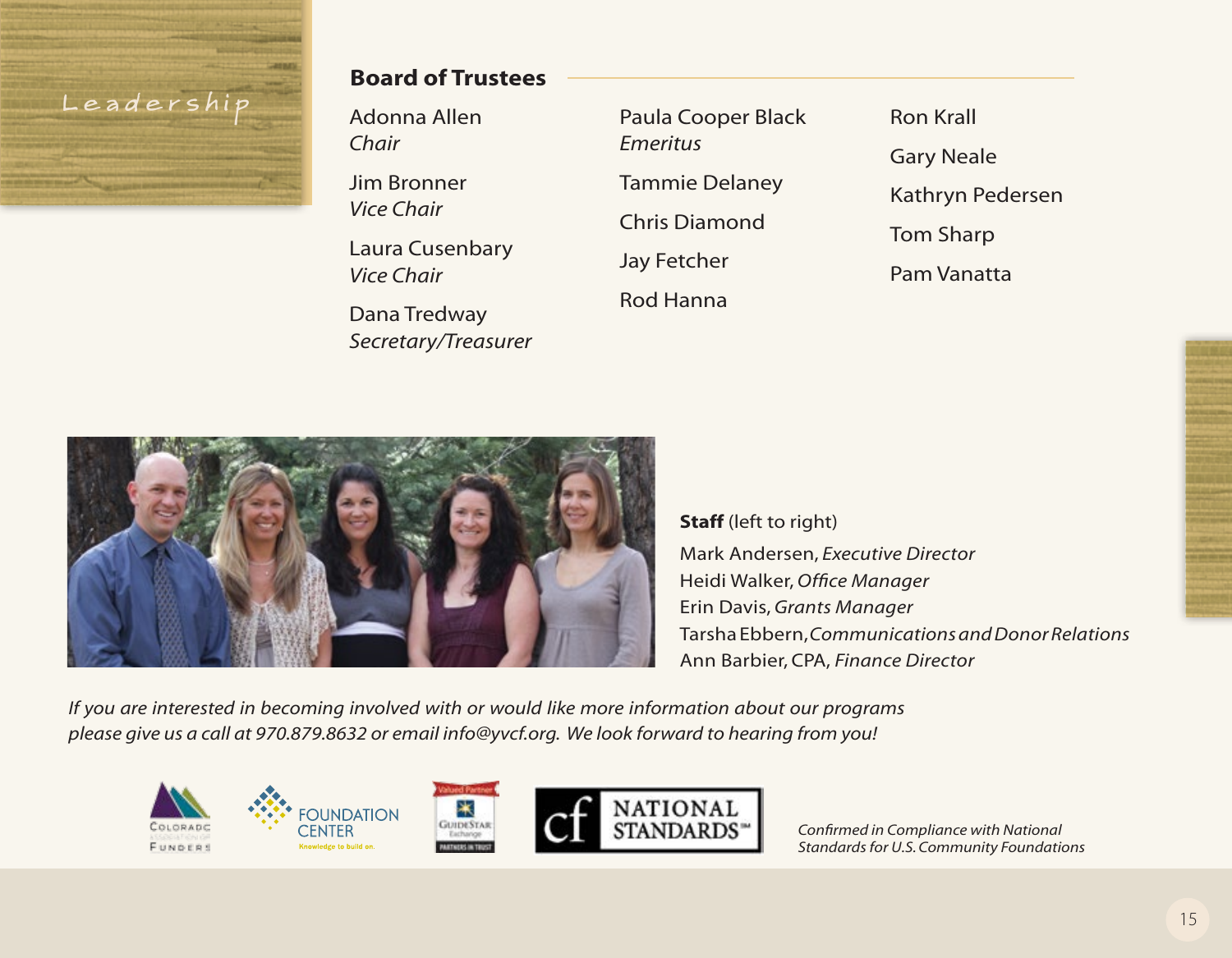# Leadersh

## **Board of Trustees**

*Chair* Jim Bronner

Adonna Allen

*Vice Chair*

Laura Cusenbary *Vice Chair*

Dana Tredway *Secretary/Treasurer* Paula Cooper Black *Emeritus* Tammie Delaney Chris Diamond Jay Fetcher Rod Hanna

Ron Krall Gary Neale Kathryn Pedersen Tom Sharp Pam Vanatta



**Staff** (left to right) Mark Andersen, *Executive Director* Heidi Walker, *Office Manager* Erin Davis, *Grants Manager* Tarsha Ebbern, *Communications and Donor Relations* Ann Barbier, CPA, *Finance Director*

*If you are interested in becoming involved with or would like more information about our programs please give us a call at 970.879.8632 or email info@yvcf.org. We look forward to hearing from you!*

∗

**GUIDESTAR** 







*Confirmed in Compliance with National Standards for U.S. Community Foundations*